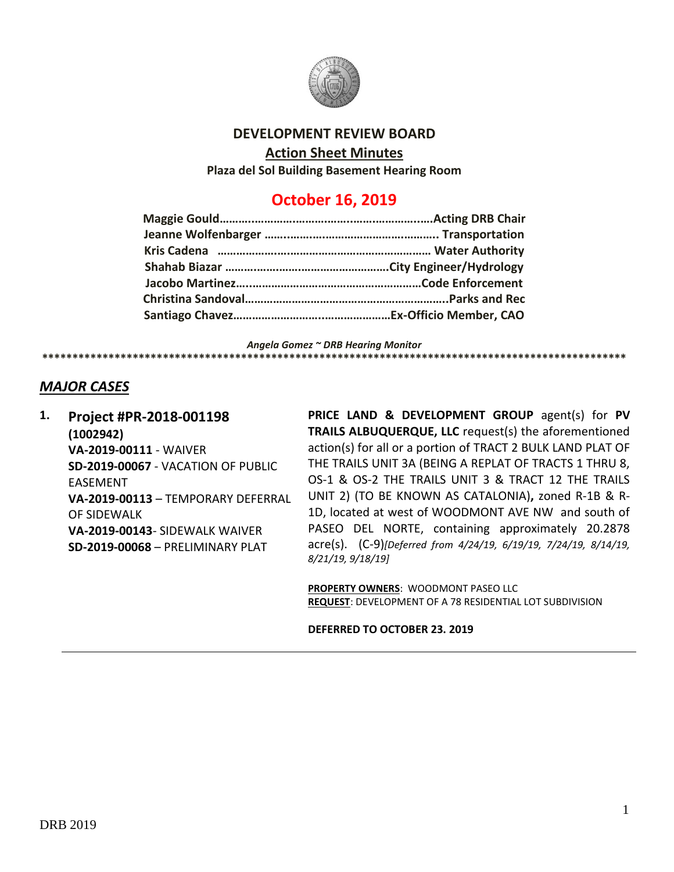

#### **DEVELOPMENT REVIEW BOARD**

#### **Action Sheet Minutes**

**Plaza del Sol Building Basement Hearing Room**

# **October 16, 2019**

*Angela Gomez ~ DRB Hearing Monitor*

### *MAJOR CASES*

**1. Project #PR-2018-001198 (1002942) VA-2019-00111** - WAIVER **SD-2019-00067** - VACATION OF PUBLIC EASEMENT **VA-2019-00113** – TEMPORARY DEFERRAL OF SIDEWALK **VA-2019-00143**- SIDEWALK WAIVER **SD-2019-00068** – PRELIMINARY PLAT

**PRICE LAND & DEVELOPMENT GROUP** agent(s) for **PV TRAILS ALBUQUERQUE, LLC** request(s) the aforementioned action(s) for all or a portion of TRACT 2 BULK LAND PLAT OF THE TRAILS UNIT 3A (BEING A REPLAT OF TRACTS 1 THRU 8, OS-1 & OS-2 THE TRAILS UNIT 3 & TRACT 12 THE TRAILS UNIT 2) (TO BE KNOWN AS CATALONIA)**,** zoned R-1B & R-1D, located at west of WOODMONT AVE NW and south of PASEO DEL NORTE, containing approximately 20.2878 acre(s). (C-9)*[Deferred from 4/24/19, 6/19/19, 7/24/19, 8/14/19, 8/21/19, 9/18/19]*

**\*\*\*\*\*\*\*\*\*\*\*\*\*\*\*\*\*\*\*\*\*\*\*\*\*\*\*\*\*\*\*\*\*\*\*\*\*\*\*\*\*\*\*\*\*\*\*\*\*\*\*\*\*\*\*\*\*\*\*\*\*\*\*\*\*\*\*\*\*\*\*\*\*\*\*\*\*\*\*\*\*\*\*\*\*\*\*\*\*\*\*\*\*\*\*\*\***

**PROPERTY OWNERS**: WOODMONT PASEO LLC **REQUEST**: DEVELOPMENT OF A 78 RESIDENTIAL LOT SUBDIVISION

**DEFERRED TO OCTOBER 23. 2019**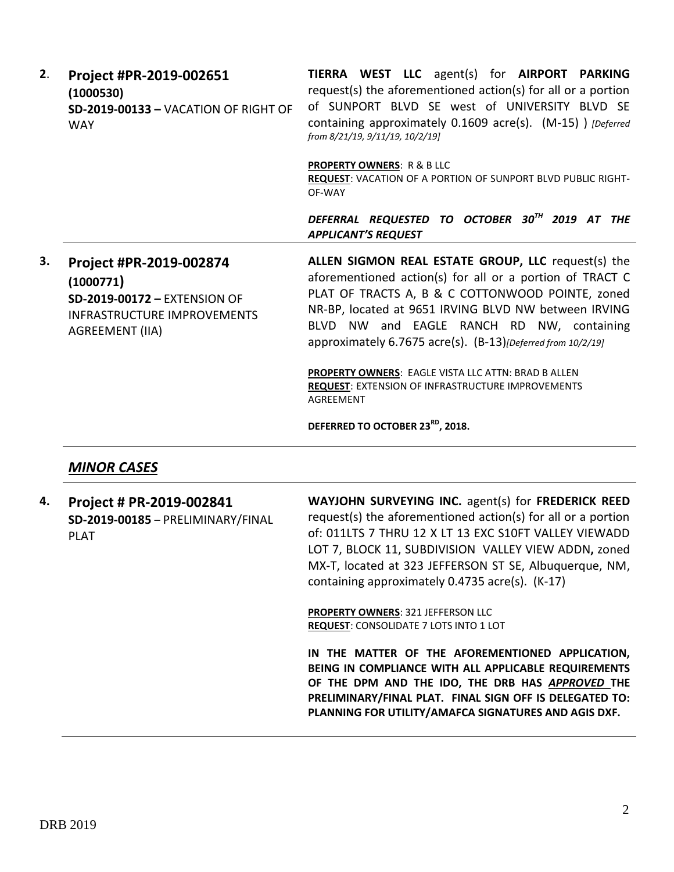| 2. | Project #PR-2019-002651<br>(1000530)<br>SD-2019-00133 - VACATION OF RIGHT OF<br><b>WAY</b>                                    | TIERRA WEST LLC agent(s) for AIRPORT PARKING<br>request(s) the aforementioned action(s) for all or a portion<br>of SUNPORT BLVD SE west of UNIVERSITY BLVD SE<br>containing approximately 0.1609 acre(s). (M-15) ) [Deferred<br>from 8/21/19, 9/11/19, 10/2/19]                                                                        |
|----|-------------------------------------------------------------------------------------------------------------------------------|----------------------------------------------------------------------------------------------------------------------------------------------------------------------------------------------------------------------------------------------------------------------------------------------------------------------------------------|
|    |                                                                                                                               | <b>PROPERTY OWNERS: R &amp; B LLC</b><br><b>REQUEST: VACATION OF A PORTION OF SUNPORT BLVD PUBLIC RIGHT-</b><br>OF-WAY                                                                                                                                                                                                                 |
|    |                                                                                                                               | DEFERRAL REQUESTED TO OCTOBER 30TH 2019 AT THE<br><b>APPLICANT'S REQUEST</b>                                                                                                                                                                                                                                                           |
| 3. | Project #PR-2019-002874<br>(1000771)<br>SD-2019-00172 - EXTENSION OF<br><b>INFRASTRUCTURE IMPROVEMENTS</b><br>AGREEMENT (IIA) | ALLEN SIGMON REAL ESTATE GROUP, LLC request(s) the<br>aforementioned action(s) for all or a portion of TRACT C<br>PLAT OF TRACTS A, B & C COTTONWOOD POINTE, zoned<br>NR-BP, located at 9651 IRVING BLVD NW between IRVING<br>BLVD NW and EAGLE RANCH RD NW, containing<br>approximately 6.7675 acre(s). (B-13)[Deferred from 10/2/19] |
|    |                                                                                                                               | PROPERTY OWNERS: EAGLE VISTA LLC ATTN: BRAD B ALLEN<br><b>REQUEST: EXTENSION OF INFRASTRUCTURE IMPROVEMENTS</b><br>AGREEMENT                                                                                                                                                                                                           |
|    | DEFERRED TO OCTOBER 23 <sup>RD</sup> , 2018.                                                                                  |                                                                                                                                                                                                                                                                                                                                        |

# *MINOR CASES*

| 4. | Project # PR-2019-002841<br>SD-2019-00185 - PRELIMINARY/FINAL<br><b>PLAT</b> | WAYJOHN SURVEYING INC. agent(s) for FREDERICK REED<br>request(s) the aforementioned action(s) for all or a portion<br>of: 011LTS 7 THRU 12 X LT 13 EXC S10FT VALLEY VIEWADD<br>LOT 7, BLOCK 11, SUBDIVISION VALLEY VIEW ADDN, zoned<br>MX-T, located at 323 JEFFERSON ST SE, Albuquerque, NM,<br>containing approximately 0.4735 acre(s). (K-17) |
|----|------------------------------------------------------------------------------|--------------------------------------------------------------------------------------------------------------------------------------------------------------------------------------------------------------------------------------------------------------------------------------------------------------------------------------------------|
|    |                                                                              | <b>PROPERTY OWNERS: 321 JEFFERSON LLC</b><br><b>REQUEST: CONSOLIDATE 7 LOTS INTO 1 LOT</b>                                                                                                                                                                                                                                                       |
|    |                                                                              | IN THE MATTER OF THE AFOREMENTIONED APPLICATION,<br>BEING IN COMPLIANCE WITH ALL APPLICABLE REQUIREMENTS<br>OF THE DPM AND THE IDO, THE DRB HAS APPROVED THE<br>PRELIMINARY/FINAL PLAT. FINAL SIGN OFF IS DELEGATED TO:                                                                                                                          |

**PLANNING FOR UTILITY/AMAFCA SIGNATURES AND AGIS DXF.**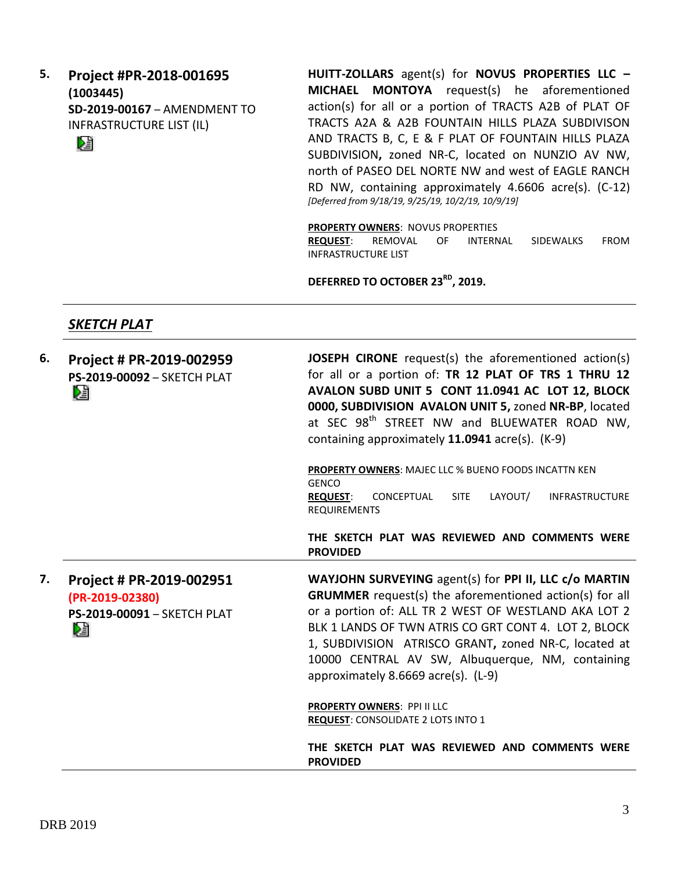**5. Project #PR-2018-001695 (1003445) SD-2019-00167** – AMENDMENT TO INFRASTRUCTURE LIST (IL)

**HUITT-ZOLLARS** agent(s) for **NOVUS PROPERTIES LLC – MICHAEL MONTOYA** request(s) he aforementioned action(s) for all or a portion of TRACTS A2B of PLAT OF TRACTS A2A & A2B FOUNTAIN HILLS PLAZA SUBDIVISON AND TRACTS B, C, E & F PLAT OF FOUNTAIN HILLS PLAZA SUBDIVISION**,** zoned NR-C, located on NUNZIO AV NW, north of PASEO DEL NORTE NW and west of EAGLE RANCH RD NW, containing approximately 4.6606 acre(s). (C-12) *[Deferred from 9/18/19, 9/25/19, 10/2/19, 10/9/19]*

**PROPERTY OWNERS**: NOVUS PROPERTIES

**REQUEST**: REMOVAL OF INTERNAL SIDEWALKS FROM INFRASTRUCTURE LIST

**DEFERRED TO OCTOBER 23RD, 2019.**

# *SKETCH PLAT*

| 6. | Project # PR-2019-002959<br>PS-2019-00092 - SKETCH PLAT<br>r.                   | JOSEPH CIRONE request(s) the aforementioned action(s)<br>for all or a portion of: TR 12 PLAT OF TRS 1 THRU 12<br>AVALON SUBD UNIT 5 CONT 11.0941 AC LOT 12, BLOCK<br>0000, SUBDIVISION AVALON UNIT 5, zoned NR-BP, located<br>at SEC 98 <sup>th</sup> STREET NW and BLUEWATER ROAD NW,<br>containing approximately 11.0941 acre(s). (K-9)                                                    |
|----|---------------------------------------------------------------------------------|----------------------------------------------------------------------------------------------------------------------------------------------------------------------------------------------------------------------------------------------------------------------------------------------------------------------------------------------------------------------------------------------|
|    |                                                                                 | PROPERTY OWNERS: MAJEC LLC % BUENO FOODS INCATTN KEN<br><b>GENCO</b><br>LAYOUT/<br><b>REQUEST:</b><br>CONCEPTUAL<br><b>SITE</b><br><b>INFRASTRUCTURE</b><br><b>REQUIREMENTS</b>                                                                                                                                                                                                              |
|    |                                                                                 | THE SKETCH PLAT WAS REVIEWED AND COMMENTS WERE<br><b>PROVIDED</b>                                                                                                                                                                                                                                                                                                                            |
| 7. | Project # PR-2019-002951<br>(PR-2019-02380)<br>PS-2019-00091 - SKETCH PLAT<br>酉 | WAYJOHN SURVEYING agent(s) for PPI II, LLC c/o MARTIN<br><b>GRUMMER</b> request(s) the aforementioned action(s) for all<br>or a portion of: ALL TR 2 WEST OF WESTLAND AKA LOT 2<br>BLK 1 LANDS OF TWN ATRIS CO GRT CONT 4. LOT 2, BLOCK<br>1, SUBDIVISION ATRISCO GRANT, zoned NR-C, located at<br>10000 CENTRAL AV SW, Albuquerque, NM, containing<br>approximately 8.6669 acre(s). $(L-9)$ |
|    |                                                                                 | PROPERTY OWNERS: PPI II LLC<br><b>REQUEST: CONSOLIDATE 2 LOTS INTO 1</b>                                                                                                                                                                                                                                                                                                                     |
|    |                                                                                 | THE SKETCH PLAT WAS REVIEWED AND COMMENTS WERE<br><b>PROVIDED</b>                                                                                                                                                                                                                                                                                                                            |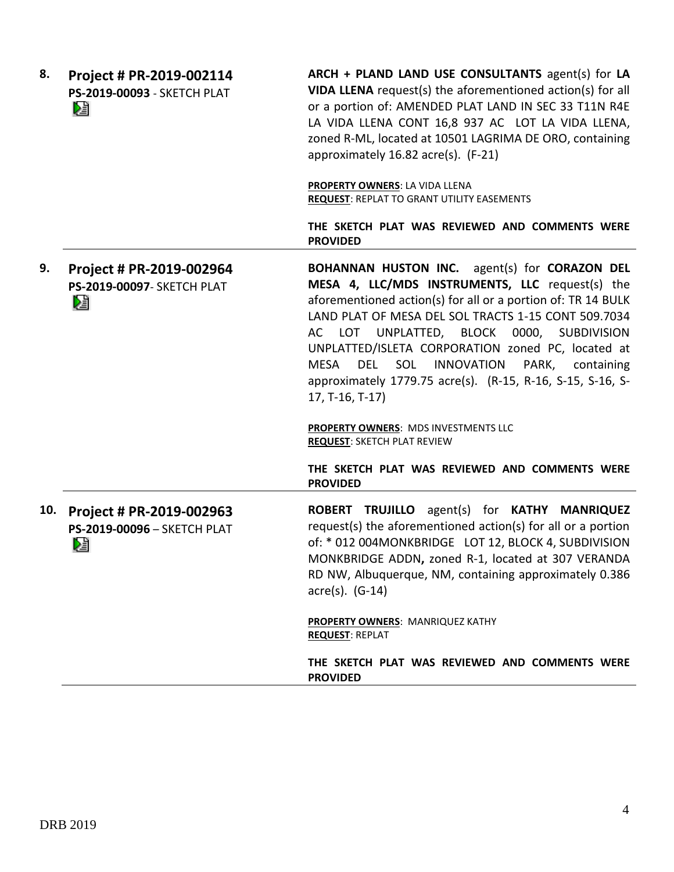| 8.  | Project # PR-2019-002114<br>PS-2019-00093 - SKETCH PLAT<br>ù. | ARCH + PLAND LAND USE CONSULTANTS agent(s) for LA<br>VIDA LLENA request(s) the aforementioned action(s) for all<br>or a portion of: AMENDED PLAT LAND IN SEC 33 T11N R4E<br>LA VIDA LLENA CONT 16,8 937 AC LOT LA VIDA LLENA,<br>zoned R-ML, located at 10501 LAGRIMA DE ORO, containing<br>approximately 16.82 acre(s). (F-21)                                                                                                                                                                   |
|-----|---------------------------------------------------------------|---------------------------------------------------------------------------------------------------------------------------------------------------------------------------------------------------------------------------------------------------------------------------------------------------------------------------------------------------------------------------------------------------------------------------------------------------------------------------------------------------|
|     |                                                               | PROPERTY OWNERS: LA VIDA LLENA<br><b>REQUEST: REPLAT TO GRANT UTILITY EASEMENTS</b>                                                                                                                                                                                                                                                                                                                                                                                                               |
|     |                                                               | THE SKETCH PLAT WAS REVIEWED AND COMMENTS WERE<br><b>PROVIDED</b>                                                                                                                                                                                                                                                                                                                                                                                                                                 |
| 9.  | Project # PR-2019-002964<br>PS-2019-00097- SKETCH PLAT<br>ù.  | <b>BOHANNAN HUSTON INC.</b> agent(s) for <b>CORAZON DEL</b><br>MESA 4, LLC/MDS INSTRUMENTS, LLC request(s) the<br>aforementioned action(s) for all or a portion of: TR 14 BULK<br>LAND PLAT OF MESA DEL SOL TRACTS 1-15 CONT 509.7034<br>AC LOT UNPLATTED, BLOCK<br>0000, SUBDIVISION<br>UNPLATTED/ISLETA CORPORATION zoned PC, located at<br><b>MESA</b><br><b>DEL</b><br>SOL INNOVATION<br>PARK,<br>containing<br>approximately 1779.75 acre(s). (R-15, R-16, S-15, S-16, S-<br>17, T-16, T-17) |
|     |                                                               | PROPERTY OWNERS: MDS INVESTMENTS LLC<br><b>REQUEST: SKETCH PLAT REVIEW</b>                                                                                                                                                                                                                                                                                                                                                                                                                        |
|     |                                                               | THE SKETCH PLAT WAS REVIEWED AND COMMENTS WERE<br><b>PROVIDED</b>                                                                                                                                                                                                                                                                                                                                                                                                                                 |
| 10. | Project # PR-2019-002963<br>PS-2019-00096 - SKETCH PLAT<br>N  | ROBERT TRUJILLO agent(s) for KATHY MANRIQUEZ<br>request(s) the aforementioned action(s) for all or a portion<br>of: * 012 004MONKBRIDGE LOT 12, BLOCK 4, SUBDIVISION<br>MONKBRIDGE ADDN, zoned R-1, located at 307 VERANDA<br>RD NW, Albuquerque, NM, containing approximately 0.386<br>$\arccos(5)$ . (G-14)                                                                                                                                                                                     |
|     |                                                               | <b>PROPERTY OWNERS: MANRIQUEZ KATHY</b><br><b>REQUEST: REPLAT</b>                                                                                                                                                                                                                                                                                                                                                                                                                                 |
|     |                                                               | THE SKETCH PLAT WAS REVIEWED AND COMMENTS WERE<br><b>PROVIDED</b>                                                                                                                                                                                                                                                                                                                                                                                                                                 |